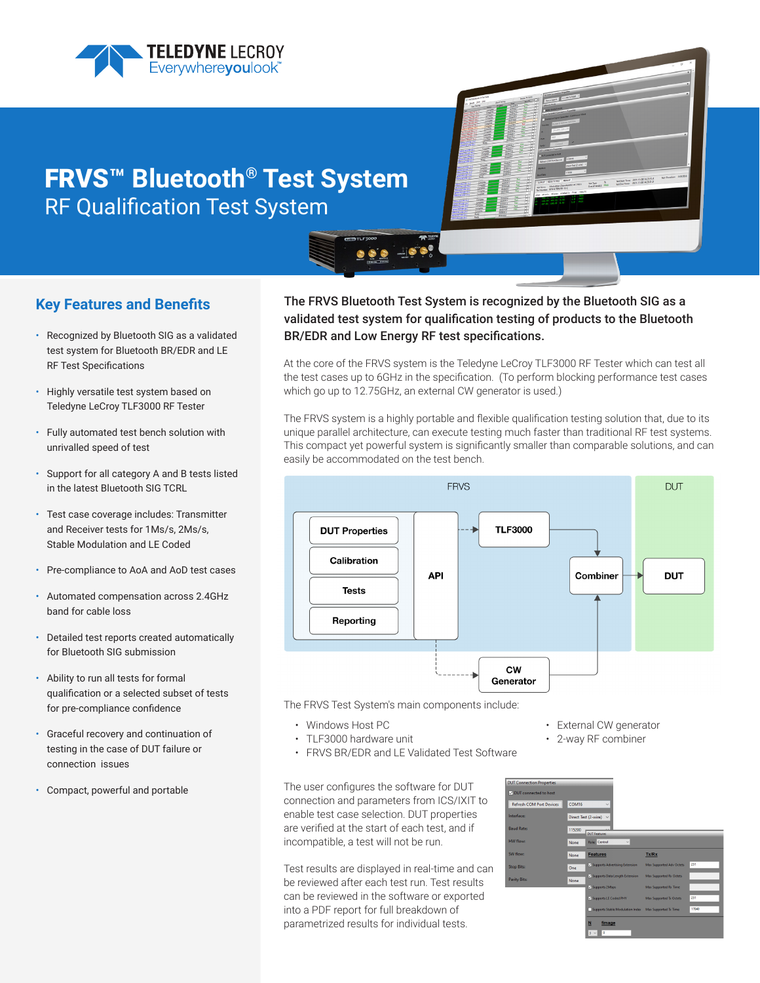





# **Key Features and Benefits**

- Recognized by Bluetooth SIG as a validated test system for Bluetooth BR/EDR and LE RF Test Specifications
- Highly versatile test system based on Teledyne LeCroy TLF3000 RF Tester
- Fully automated test bench solution with unrivalled speed of test
- Support for all category A and B tests listed in the latest Bluetooth SIG TCRL
- Test case coverage includes: Transmitter and Receiver tests for 1Ms/s, 2Ms/s, Stable Modulation and LE Coded
- Pre-compliance to AoA and AoD test cases
- Automated compensation across 2.4GHz band for cable loss
- Detailed test reports created automatically for Bluetooth SIG submission
- Ability to run all tests for formal qualification or a selected subset of tests for pre-compliance confidence
- Graceful recovery and continuation of testing in the case of DUT failure or connection issues
- Compact, powerful and portable

# The FRVS Bluetooth Test System is recognized by the Bluetooth SIG as a validated test system for qualification testing of products to the Bluetooth BR/EDR and Low Energy RF test specifications.

At the core of the FRVS system is the Teledyne LeCroy TLF3000 RF Tester which can test all the test cases up to 6GHz in the specification. (To perform blocking performance test cases which go up to 12.75GHz, an external CW generator is used.)

The FRVS system is a highly portable and flexible qualification testing solution that, due to its unique parallel architecture, can execute testing much faster than traditional RF test systems. This compact yet powerful system is significantly smaller than comparable solutions, and can easily be accommodated on the test bench.



The FRVS Test System's main components include:

**OOO - 1000** 

- Windows Host PC
- TLF3000 hardware unit
- FRVS BR/EDR and LE Validated Test Software

The user configures the software for DUT connection and parameters from ICS/IXIT to enable test case selection. DUT properties are verified at the start of each test, and if incompatible, a test will not be run.

Test results are displayed in real-time and can be reviewed after each test run. Test results can be reviewed in the software or exported into a PDF report for full breakdown of parametrized results for individual tests.

- External CW generator
- 2-way RF combiner